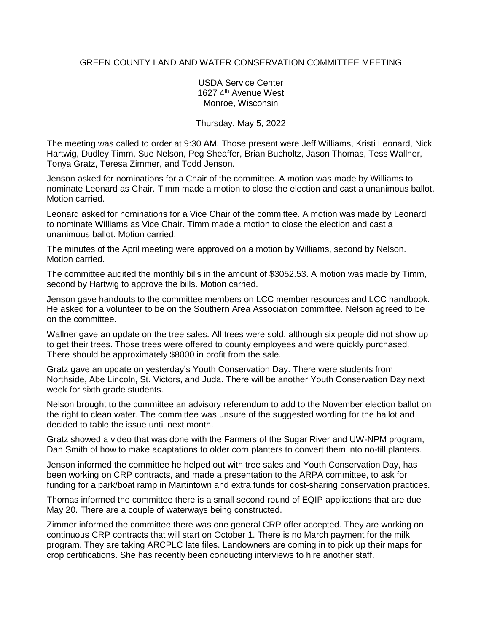## GREEN COUNTY LAND AND WATER CONSERVATION COMMITTEE MEETING

## USDA Service Center 1627 4<sup>th</sup> Avenue West Monroe, Wisconsin

## Thursday, May 5, 2022

The meeting was called to order at 9:30 AM. Those present were Jeff Williams, Kristi Leonard, Nick Hartwig, Dudley Timm, Sue Nelson, Peg Sheaffer, Brian Bucholtz, Jason Thomas, Tess Wallner, Tonya Gratz, Teresa Zimmer, and Todd Jenson.

Jenson asked for nominations for a Chair of the committee. A motion was made by Williams to nominate Leonard as Chair. Timm made a motion to close the election and cast a unanimous ballot. Motion carried.

Leonard asked for nominations for a Vice Chair of the committee. A motion was made by Leonard to nominate Williams as Vice Chair. Timm made a motion to close the election and cast a unanimous ballot. Motion carried.

The minutes of the April meeting were approved on a motion by Williams, second by Nelson. Motion carried.

The committee audited the monthly bills in the amount of \$3052.53. A motion was made by Timm, second by Hartwig to approve the bills. Motion carried.

Jenson gave handouts to the committee members on LCC member resources and LCC handbook. He asked for a volunteer to be on the Southern Area Association committee. Nelson agreed to be on the committee.

Wallner gave an update on the tree sales. All trees were sold, although six people did not show up to get their trees. Those trees were offered to county employees and were quickly purchased. There should be approximately \$8000 in profit from the sale.

Gratz gave an update on yesterday's Youth Conservation Day. There were students from Northside, Abe Lincoln, St. Victors, and Juda. There will be another Youth Conservation Day next week for sixth grade students.

Nelson brought to the committee an advisory referendum to add to the November election ballot on the right to clean water. The committee was unsure of the suggested wording for the ballot and decided to table the issue until next month.

Gratz showed a video that was done with the Farmers of the Sugar River and UW-NPM program, Dan Smith of how to make adaptations to older corn planters to convert them into no-till planters.

Jenson informed the committee he helped out with tree sales and Youth Conservation Day, has been working on CRP contracts, and made a presentation to the ARPA committee, to ask for funding for a park/boat ramp in Martintown and extra funds for cost-sharing conservation practices.

Thomas informed the committee there is a small second round of EQIP applications that are due May 20. There are a couple of waterways being constructed.

Zimmer informed the committee there was one general CRP offer accepted. They are working on continuous CRP contracts that will start on October 1. There is no March payment for the milk program. They are taking ARCPLC late files. Landowners are coming in to pick up their maps for crop certifications. She has recently been conducting interviews to hire another staff.